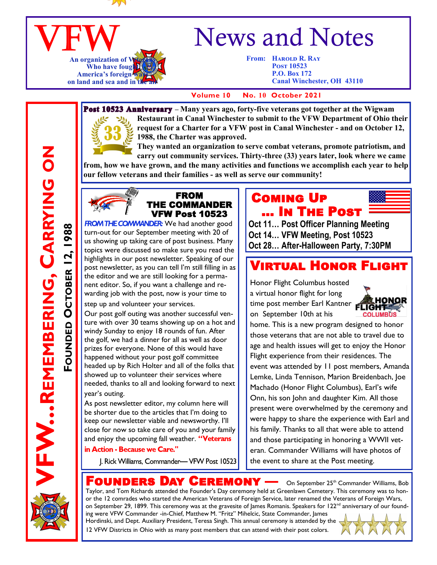

#### VFW **An organization of V** Who have fought **America**'s foreign on land and sea and in th

# News and Notes

**From: HAROLD R. RAY Post 10523 P.O. Box 172 Canal Winchester, OH 43110**

#### **Volume 10 No. 10 October 2021**



**Post 10523 Anniversary** – Many years ago, forty-five veterans got together at the Wigwam **Restaurant in Canal Winchester to submit to the VFW Department of Ohio their request for a Charter for a VFW post in Canal Winchester - and on October 12, 1988, the Charter was approved.** 

**They wanted an organization to serve combat veterans, promote patriotism, and carry out community services. Thirty-three (33) years later, look where we came from, how we have grown, and the many activities and functions we accomplish each year to help** 

**our fellow veterans and their families - as well as serve our community!**



#### FROM THE COMMANDER VFW Post 10523

**FROM THE COMMANDER:** We had another good turn-out for our September meeting with 20 of us showing up taking care of post business. Many topics were discussed so make sure you read the highlights in our post newsletter. Speaking of our post newsletter, as you can tell I'm still filling in as the editor and we are still looking for a permanent editor. So, if you want a challenge and rewarding job with the post, now is your time to

step up and volunteer your services.

Our post golf outing was another successful venture with over 30 teams showing up on a hot and windy Sunday to enjoy 18 rounds of fun. After the golf, we had a dinner for all as well as door prizes for everyone. None of this would have happened without your post golf committee headed up by Rich Holter and all of the folks that showed up to volunteer their services where needed, thanks to all and looking forward to next year's outing.

As post newsletter editor, my column here will be shorter due to the articles that I'm doing to keep our newsletter viable and newsworthy. I'll close for now so take care of you and your family and enjoy the upcoming fall weather. **"**

in Action - Because we Care."

J. Rick Williams, Commander-VFW Post 10523

## Coming Up … In The Post



**Oct 11… Post Officer Planning Meeting Oct 14… VFW Meeting, Post 10523 Oct 28… After-Halloween Party, 7:30PM**

## Virtual Honor Flight

Honor Flight Columbus hosted a virtual honor flight for long time post member Earl Kantner on September 10th at his



home. This is a new program designed to honor those veterans that are not able to travel due to age and health issues will get to enjoy the Honor Flight experience from their residences. The event was attended by 11 post members, Amanda Lemke, Linda Tennison, Marion Breidenbach, Joe Machado (Honor Flight Columbus), Earl's wife Onn, his son John and daughter Kim. All those present were overwhelmed by the ceremony and were happy to share the experience with Earl and his family. Thanks to all that were able to attend and those participating in honoring a WWII veteran. Commander Williams will have photos of the event to share at the Post meeting.



**REMEMBERING, CARRYING ON**

FOUNDED OCTOBER 12, 1988

**OCTOBER 12, 1988**

 $\overline{\mathsf{F} \mathsf{ounDers}}$  Day  $\mathsf{C} \mathsf{EREMONY}$  —  $\circ$ n September 25<sup>th</sup> Commander Williams, Bob

Taylor, and Tom Richards attended the Founder's Day ceremony held at Greenlawn Cemetery. This ceremony was to honor the 12 comrades who started the American Veterans of Foreign Service, later renamed the Veterans of Foreign Wars, on September 29, 1899. This ceremony was at the gravesite of James Romanis. Speakers for 122<sup>nd</sup> anniversary of our founding were VFW Commander -in-Chief, Matthew M. "Fritz" Mihelcic, State Commander, James

Hordinski, and Dept. Auxiliary President, Teresa Singh. This annual ceremony is attended by the 12 VFW Districts in Ohio with as many post members that can attend with their post colors.